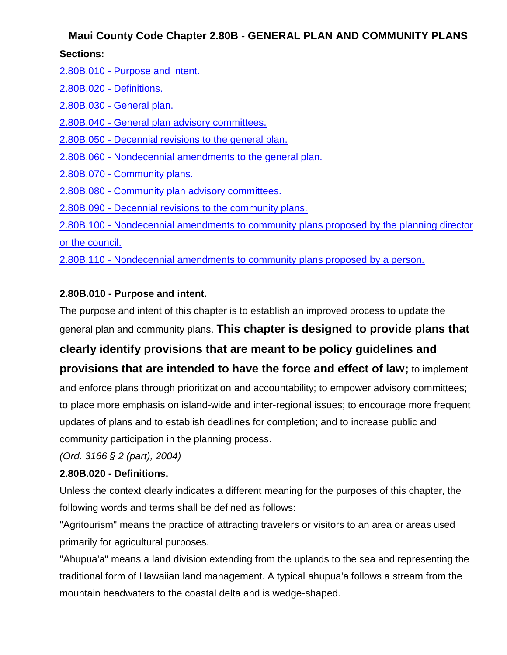# **Maui County Code Chapter 2.80B - GENERAL PLAN AND COMMUNITY PLANS Sections:**

| 2.80B.010 - Purpose and intent.                                                          |
|------------------------------------------------------------------------------------------|
| 2.80B.020 - Definitions.                                                                 |
| 2.80B.030 - General plan.                                                                |
| 2.80B.040 - General plan advisory committees.                                            |
| 2.80B.050 - Decennial revisions to the general plan.                                     |
| 2.80B.060 - Nondecennial amendments to the general plan.                                 |
| 2.80B.070 - Community plans.                                                             |
| 2.80B.080 - Community plan advisory committees.                                          |
| 2.80B.090 - Decennial revisions to the community plans.                                  |
| 2.80B.100 - Nondecennial amendments to community plans proposed by the planning director |
| or the council.                                                                          |

2.80B.110 - [Nondecennial amendments to community plans proposed by a person.](http://library.municode.com/HTML/16289/level2/TIT2ADPE_CH2.80BGEPLCOPL.html#TIT2ADPE_CH2.80BGEPLCOPL_2.80B.110NOAMCOPLPRPE)

## **2.80B.010 - Purpose and intent.**

The purpose and intent of this chapter is to establish an improved process to update the general plan and community plans. **This chapter is designed to provide plans that** 

## **clearly identify provisions that are meant to be policy guidelines and**

# **provisions that are intended to have the force and effect of law;** to implement

and enforce plans through prioritization and accountability; to empower advisory committees; to place more emphasis on island-wide and inter-regional issues; to encourage more frequent updates of plans and to establish deadlines for completion; and to increase public and community participation in the planning process.

*(Ord. 3166 § 2 (part), 2004)* 

### **2.80B.020 - Definitions.**

Unless the context clearly indicates a different meaning for the purposes of this chapter, the following words and terms shall be defined as follows:

"Agritourism" means the practice of attracting travelers or visitors to an area or areas used primarily for agricultural purposes.

"Ahupua'a" means a land division extending from the uplands to the sea and representing the traditional form of Hawaiian land management. A typical ahupua'a follows a stream from the mountain headwaters to the coastal delta and is wedge-shaped.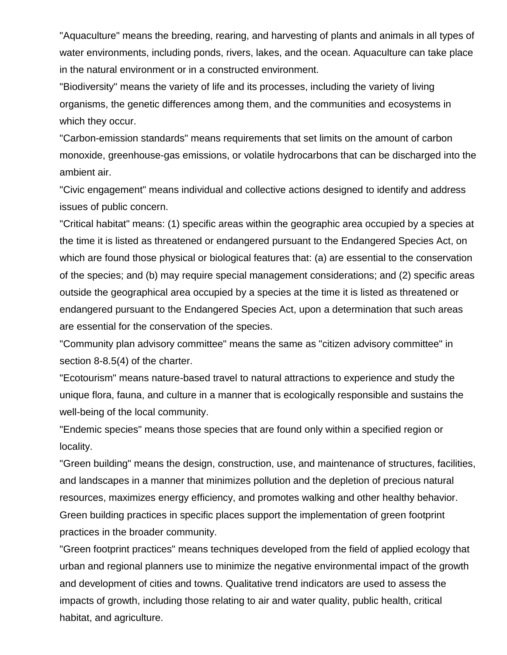"Aquaculture" means the breeding, rearing, and harvesting of plants and animals in all types of water environments, including ponds, rivers, lakes, and the ocean. Aquaculture can take place in the natural environment or in a constructed environment.

"Biodiversity" means the variety of life and its processes, including the variety of living organisms, the genetic differences among them, and the communities and ecosystems in which they occur.

"Carbon-emission standards" means requirements that set limits on the amount of carbon monoxide, greenhouse-gas emissions, or volatile hydrocarbons that can be discharged into the ambient air.

"Civic engagement" means individual and collective actions designed to identify and address issues of public concern.

"Critical habitat" means: (1) specific areas within the geographic area occupied by a species at the time it is listed as threatened or endangered pursuant to the Endangered Species Act, on which are found those physical or biological features that: (a) are essential to the conservation of the species; and (b) may require special management considerations; and (2) specific areas outside the geographical area occupied by a species at the time it is listed as threatened or endangered pursuant to the Endangered Species Act, upon a determination that such areas are essential for the conservation of the species.

"Community plan advisory committee" means the same as "citizen advisory committee" in section 8-8.5(4) of the charter.

"Ecotourism" means nature-based travel to natural attractions to experience and study the unique flora, fauna, and culture in a manner that is ecologically responsible and sustains the well-being of the local community.

"Endemic species" means those species that are found only within a specified region or locality.

"Green building" means the design, construction, use, and maintenance of structures, facilities, and landscapes in a manner that minimizes pollution and the depletion of precious natural resources, maximizes energy efficiency, and promotes walking and other healthy behavior. Green building practices in specific places support the implementation of green footprint practices in the broader community.

"Green footprint practices" means techniques developed from the field of applied ecology that urban and regional planners use to minimize the negative environmental impact of the growth and development of cities and towns. Qualitative trend indicators are used to assess the impacts of growth, including those relating to air and water quality, public health, critical habitat, and agriculture.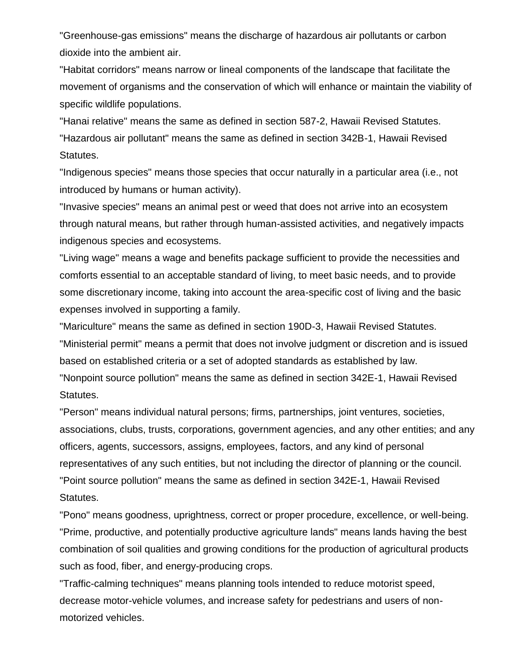"Greenhouse-gas emissions" means the discharge of hazardous air pollutants or carbon dioxide into the ambient air.

"Habitat corridors" means narrow or lineal components of the landscape that facilitate the movement of organisms and the conservation of which will enhance or maintain the viability of specific wildlife populations.

"Hanai relative" means the same as defined in section 587-2, Hawaii Revised Statutes. "Hazardous air pollutant" means the same as defined in section 342B-1, Hawaii Revised Statutes.

"Indigenous species" means those species that occur naturally in a particular area (i.e., not introduced by humans or human activity).

"Invasive species" means an animal pest or weed that does not arrive into an ecosystem through natural means, but rather through human-assisted activities, and negatively impacts indigenous species and ecosystems.

"Living wage" means a wage and benefits package sufficient to provide the necessities and comforts essential to an acceptable standard of living, to meet basic needs, and to provide some discretionary income, taking into account the area-specific cost of living and the basic expenses involved in supporting a family.

"Mariculture" means the same as defined in section 190D-3, Hawaii Revised Statutes. "Ministerial permit" means a permit that does not involve judgment or discretion and is issued based on established criteria or a set of adopted standards as established by law. "Nonpoint source pollution" means the same as defined in section 342E-1, Hawaii Revised Statutes.

"Person" means individual natural persons; firms, partnerships, joint ventures, societies, associations, clubs, trusts, corporations, government agencies, and any other entities; and any officers, agents, successors, assigns, employees, factors, and any kind of personal representatives of any such entities, but not including the director of planning or the council. "Point source pollution" means the same as defined in section 342E-1, Hawaii Revised Statutes.

"Pono" means goodness, uprightness, correct or proper procedure, excellence, or well-being. "Prime, productive, and potentially productive agriculture lands" means lands having the best combination of soil qualities and growing conditions for the production of agricultural products such as food, fiber, and energy-producing crops.

"Traffic-calming techniques" means planning tools intended to reduce motorist speed, decrease motor-vehicle volumes, and increase safety for pedestrians and users of nonmotorized vehicles.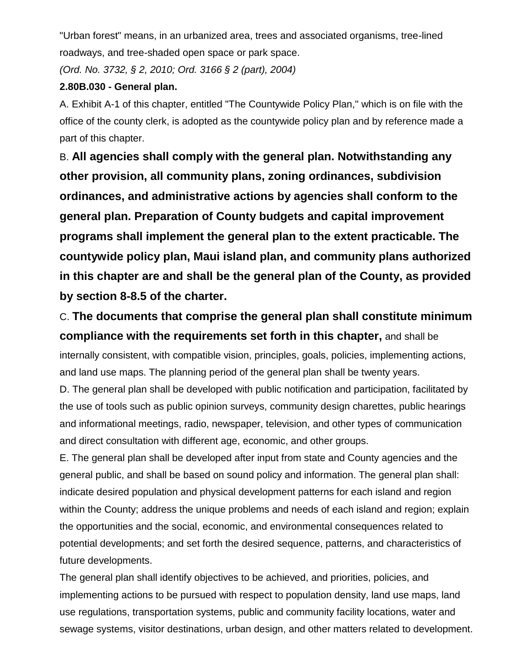"Urban forest" means, in an urbanized area, trees and associated organisms, tree-lined roadways, and tree-shaded open space or park space.

*(Ord. No. 3732, § 2, 2010; Ord. 3166 § 2 (part), 2004)* 

#### **2.80B.030 - General plan.**

A. Exhibit A-1 of this chapter, entitled "The Countywide Policy Plan," which is on file with the office of the county clerk, is adopted as the countywide policy plan and by reference made a part of this chapter.

B. **All agencies shall comply with the general plan. Notwithstanding any other provision, all community plans, zoning ordinances, subdivision ordinances, and administrative actions by agencies shall conform to the general plan. Preparation of County budgets and capital improvement programs shall implement the general plan to the extent practicable. The countywide policy plan, Maui island plan, and community plans authorized in this chapter are and shall be the general plan of the County, as provided by section 8-8.5 of the charter.** 

C. **The documents that comprise the general plan shall constitute minimum compliance with the requirements set forth in this chapter,** and shall be

internally consistent, with compatible vision, principles, goals, policies, implementing actions, and land use maps. The planning period of the general plan shall be twenty years.

D. The general plan shall be developed with public notification and participation, facilitated by the use of tools such as public opinion surveys, community design charettes, public hearings and informational meetings, radio, newspaper, television, and other types of communication and direct consultation with different age, economic, and other groups.

E. The general plan shall be developed after input from state and County agencies and the general public, and shall be based on sound policy and information. The general plan shall: indicate desired population and physical development patterns for each island and region within the County; address the unique problems and needs of each island and region; explain the opportunities and the social, economic, and environmental consequences related to potential developments; and set forth the desired sequence, patterns, and characteristics of future developments.

The general plan shall identify objectives to be achieved, and priorities, policies, and implementing actions to be pursued with respect to population density, land use maps, land use regulations, transportation systems, public and community facility locations, water and sewage systems, visitor destinations, urban design, and other matters related to development.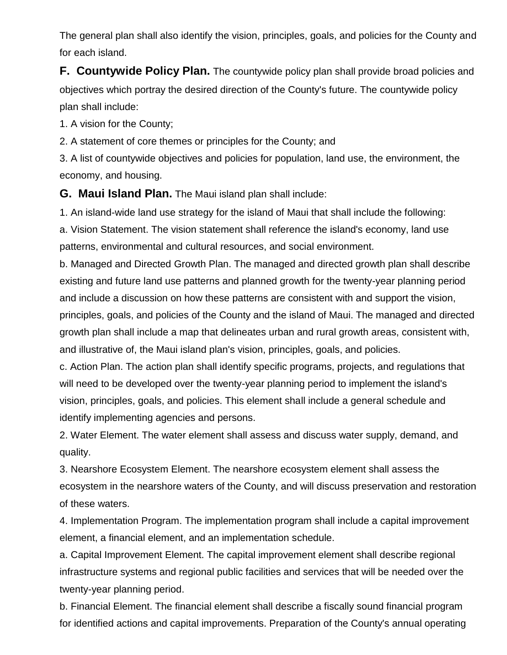The general plan shall also identify the vision, principles, goals, and policies for the County and for each island.

**F. Countywide Policy Plan.** The countywide policy plan shall provide broad policies and objectives which portray the desired direction of the County's future. The countywide policy plan shall include:

1. A vision for the County;

2. A statement of core themes or principles for the County; and

3. A list of countywide objectives and policies for population, land use, the environment, the economy, and housing.

**G. Maui Island Plan.** The Maui island plan shall include:

1. An island-wide land use strategy for the island of Maui that shall include the following: a. Vision Statement. The vision statement shall reference the island's economy, land use patterns, environmental and cultural resources, and social environment.

b. Managed and Directed Growth Plan. The managed and directed growth plan shall describe existing and future land use patterns and planned growth for the twenty-year planning period and include a discussion on how these patterns are consistent with and support the vision, principles, goals, and policies of the County and the island of Maui. The managed and directed growth plan shall include a map that delineates urban and rural growth areas, consistent with, and illustrative of, the Maui island plan's vision, principles, goals, and policies.

c. Action Plan. The action plan shall identify specific programs, projects, and regulations that will need to be developed over the twenty-year planning period to implement the island's vision, principles, goals, and policies. This element shall include a general schedule and identify implementing agencies and persons.

2. Water Element. The water element shall assess and discuss water supply, demand, and quality.

3. Nearshore Ecosystem Element. The nearshore ecosystem element shall assess the ecosystem in the nearshore waters of the County, and will discuss preservation and restoration of these waters.

4. Implementation Program. The implementation program shall include a capital improvement element, a financial element, and an implementation schedule.

a. Capital Improvement Element. The capital improvement element shall describe regional infrastructure systems and regional public facilities and services that will be needed over the twenty-year planning period.

b. Financial Element. The financial element shall describe a fiscally sound financial program for identified actions and capital improvements. Preparation of the County's annual operating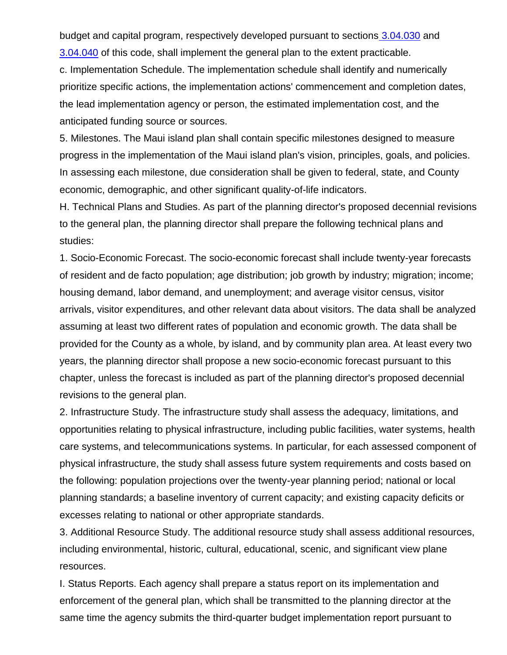budget and capital program, respectively developed pursuant to sections [3.04.030](http://library.municode.com/HTML/16289/level2/TIT3REFI_CH3.04INCOOP.html#TIT3REFI_CH3.04INCOOP_3.04.030OPBU) an[d](http://library.municode.com/HTML/16289/level2/TIT3REFI_CH3.04INCOOP.html#TIT3REFI_CH3.04INCOOP_3.04.040CAPR) [3.04.040](http://library.municode.com/HTML/16289/level2/TIT3REFI_CH3.04INCOOP.html#TIT3REFI_CH3.04INCOOP_3.04.040CAPR) of this code, shall implement the general plan to the extent practicable.

c. Implementation Schedule. The implementation schedule shall identify and numerically prioritize specific actions, the implementation actions' commencement and completion dates, the lead implementation agency or person, the estimated implementation cost, and the anticipated funding source or sources.

5. Milestones. The Maui island plan shall contain specific milestones designed to measure progress in the implementation of the Maui island plan's vision, principles, goals, and policies. In assessing each milestone, due consideration shall be given to federal, state, and County economic, demographic, and other significant quality-of-life indicators.

H. Technical Plans and Studies. As part of the planning director's proposed decennial revisions to the general plan, the planning director shall prepare the following technical plans and studies:

1. Socio-Economic Forecast. The socio-economic forecast shall include twenty-year forecasts of resident and de facto population; age distribution; job growth by industry; migration; income; housing demand, labor demand, and unemployment; and average visitor census, visitor arrivals, visitor expenditures, and other relevant data about visitors. The data shall be analyzed assuming at least two different rates of population and economic growth. The data shall be provided for the County as a whole, by island, and by community plan area. At least every two years, the planning director shall propose a new socio-economic forecast pursuant to this chapter, unless the forecast is included as part of the planning director's proposed decennial revisions to the general plan.

2. Infrastructure Study. The infrastructure study shall assess the adequacy, limitations, and opportunities relating to physical infrastructure, including public facilities, water systems, health care systems, and telecommunications systems. In particular, for each assessed component of physical infrastructure, the study shall assess future system requirements and costs based on the following: population projections over the twenty-year planning period; national or local planning standards; a baseline inventory of current capacity; and existing capacity deficits or excesses relating to national or other appropriate standards.

3. Additional Resource Study. The additional resource study shall assess additional resources, including environmental, historic, cultural, educational, scenic, and significant view plane resources.

I. Status Reports. Each agency shall prepare a status report on its implementation and enforcement of the general plan, which shall be transmitted to the planning director at the same time the agency submits the third-quarter budget implementation report pursuant to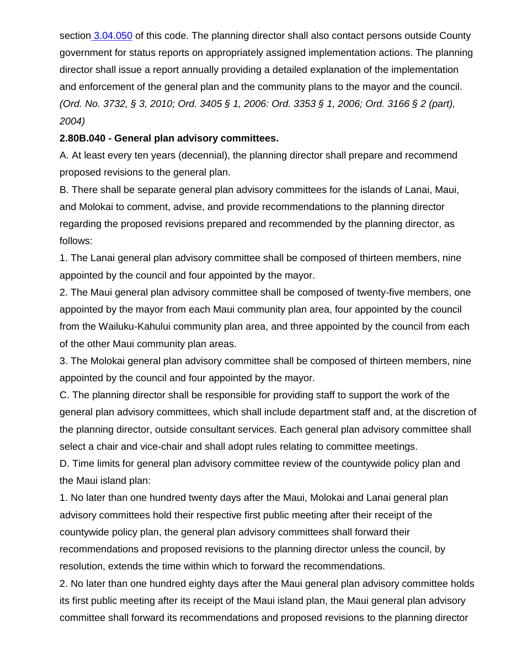section [3.04.050](http://library.municode.com/HTML/16289/level2/TIT3REFI_CH3.04INCOOP.html#TIT3REFI_CH3.04INCOOP_3.04.050BUIMRE) of this code. The planning director shall also contact persons outside County government for status reports on appropriately assigned implementation actions. The planning director shall issue a report annually providing a detailed explanation of the implementation and enforcement of the general plan and the community plans to the mayor and the council. *(Ord. No. 3732, § 3, 2010; Ord. 3405 § 1, 2006: Ord. 3353 § 1, 2006; Ord. 3166 § 2 (part), 2004)* 

#### **2.80B.040 - General plan advisory committees.**

A. At least every ten years (decennial), the planning director shall prepare and recommend proposed revisions to the general plan.

B. There shall be separate general plan advisory committees for the islands of Lanai, Maui, and Molokai to comment, advise, and provide recommendations to the planning director regarding the proposed revisions prepared and recommended by the planning director, as follows:

1. The Lanai general plan advisory committee shall be composed of thirteen members, nine appointed by the council and four appointed by the mayor.

2. The Maui general plan advisory committee shall be composed of twenty-five members, one appointed by the mayor from each Maui community plan area, four appointed by the council from the Wailuku-Kahului community plan area, and three appointed by the council from each of the other Maui community plan areas.

3. The Molokai general plan advisory committee shall be composed of thirteen members, nine appointed by the council and four appointed by the mayor.

C. The planning director shall be responsible for providing staff to support the work of the general plan advisory committees, which shall include department staff and, at the discretion of the planning director, outside consultant services. Each general plan advisory committee shall select a chair and vice-chair and shall adopt rules relating to committee meetings.

D. Time limits for general plan advisory committee review of the countywide policy plan and the Maui island plan:

1. No later than one hundred twenty days after the Maui, Molokai and Lanai general plan advisory committees hold their respective first public meeting after their receipt of the countywide policy plan, the general plan advisory committees shall forward their recommendations and proposed revisions to the planning director unless the council, by resolution, extends the time within which to forward the recommendations.

2. No later than one hundred eighty days after the Maui general plan advisory committee holds its first public meeting after its receipt of the Maui island plan, the Maui general plan advisory committee shall forward its recommendations and proposed revisions to the planning director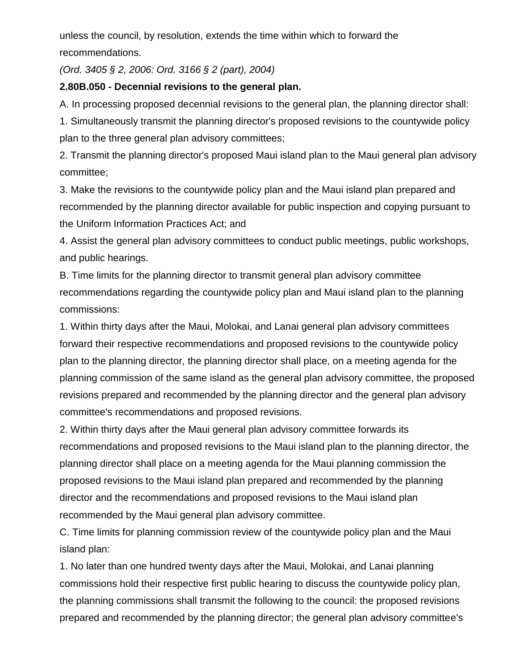unless the council, by resolution, extends the time within which to forward the recommendations.

*(Ord. 3405 § 2, 2006: Ord. 3166 § 2 (part), 2004)* 

### **2.80B.050 - Decennial revisions to the general plan.**

A. In processing proposed decennial revisions to the general plan, the planning director shall:

1. Simultaneously transmit the planning director's proposed revisions to the countywide policy plan to the three general plan advisory committees;

2. Transmit the planning director's proposed Maui island plan to the Maui general plan advisory committee;

3. Make the revisions to the countywide policy plan and the Maui island plan prepared and recommended by the planning director available for public inspection and copying pursuant to the Uniform Information Practices Act; and

4. Assist the general plan advisory committees to conduct public meetings, public workshops, and public hearings.

B. Time limits for the planning director to transmit general plan advisory committee recommendations regarding the countywide policy plan and Maui island plan to the planning commissions:

1. Within thirty days after the Maui, Molokai, and Lanai general plan advisory committees forward their respective recommendations and proposed revisions to the countywide policy plan to the planning director, the planning director shall place, on a meeting agenda for the planning commission of the same island as the general plan advisory committee, the proposed revisions prepared and recommended by the planning director and the general plan advisory committee's recommendations and proposed revisions.

2. Within thirty days after the Maui general plan advisory committee forwards its recommendations and proposed revisions to the Maui island plan to the planning director, the planning director shall place on a meeting agenda for the Maui planning commission the proposed revisions to the Maui island plan prepared and recommended by the planning director and the recommendations and proposed revisions to the Maui island plan recommended by the Maui general plan advisory committee.

C. Time limits for planning commission review of the countywide policy plan and the Maui island plan:

1. No later than one hundred twenty days after the Maui, Molokai, and Lanai planning commissions hold their respective first public hearing to discuss the countywide policy plan, the planning commissions shall transmit the following to the council: the proposed revisions prepared and recommended by the planning director; the general plan advisory committee's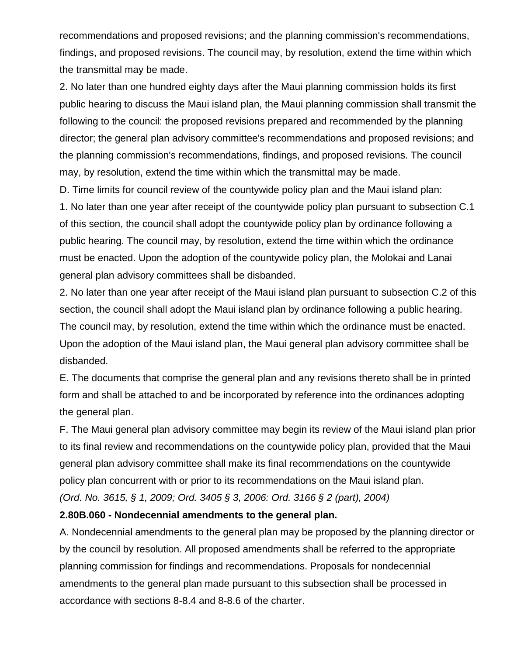recommendations and proposed revisions; and the planning commission's recommendations, findings, and proposed revisions. The council may, by resolution, extend the time within which the transmittal may be made.

2. No later than one hundred eighty days after the Maui planning commission holds its first public hearing to discuss the Maui island plan, the Maui planning commission shall transmit the following to the council: the proposed revisions prepared and recommended by the planning director; the general plan advisory committee's recommendations and proposed revisions; and the planning commission's recommendations, findings, and proposed revisions. The council may, by resolution, extend the time within which the transmittal may be made.

D. Time limits for council review of the countywide policy plan and the Maui island plan:

1. No later than one year after receipt of the countywide policy plan pursuant to subsection C.1 of this section, the council shall adopt the countywide policy plan by ordinance following a public hearing. The council may, by resolution, extend the time within which the ordinance must be enacted. Upon the adoption of the countywide policy plan, the Molokai and Lanai general plan advisory committees shall be disbanded.

2. No later than one year after receipt of the Maui island plan pursuant to subsection C.2 of this section, the council shall adopt the Maui island plan by ordinance following a public hearing. The council may, by resolution, extend the time within which the ordinance must be enacted. Upon the adoption of the Maui island plan, the Maui general plan advisory committee shall be disbanded.

E. The documents that comprise the general plan and any revisions thereto shall be in printed form and shall be attached to and be incorporated by reference into the ordinances adopting the general plan.

F. The Maui general plan advisory committee may begin its review of the Maui island plan prior to its final review and recommendations on the countywide policy plan, provided that the Maui general plan advisory committee shall make its final recommendations on the countywide policy plan concurrent with or prior to its recommendations on the Maui island plan. *(Ord. No. 3615, § 1, 2009; Ord. 3405 § 3, 2006: Ord. 3166 § 2 (part), 2004)* 

#### **2.80B.060 - Nondecennial amendments to the general plan.**

A. Nondecennial amendments to the general plan may be proposed by the planning director or by the council by resolution. All proposed amendments shall be referred to the appropriate planning commission for findings and recommendations. Proposals for nondecennial amendments to the general plan made pursuant to this subsection shall be processed in accordance with sections 8-8.4 and 8-8.6 of the charter.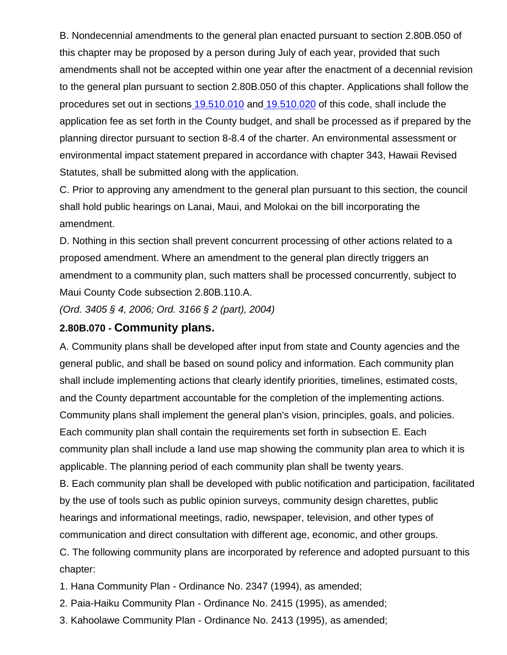B. Nondecennial amendments to the general plan enacted pursuant to section 2.80B.050 of this chapter may be proposed by a person during July of each year, provided that such amendments shall not be accepted within one year after the enactment of a decennial revision to the general plan pursuant to section 2.80B.050 of this chapter. Applications shall follow the procedures set out in sections [19.510.010](http://library.municode.com/HTML/16289/level3/TIT19ZO_ARTVADEN_CH19.510APPR.html#TIT19ZO_ARTVADEN_CH19.510APPR_19.510.010GEAPPR) and [19.510.020](http://library.municode.com/HTML/16289/level3/TIT19ZO_ARTVADEN_CH19.510APPR.html#TIT19ZO_ARTVADEN_CH19.510APPR_19.510.020APWHREPUHE) of this code, shall include the application fee as set forth in the County budget, and shall be processed as if prepared by the planning director pursuant to section 8-8.4 of the charter. An environmental assessment or environmental impact statement prepared in accordance with chapter 343, Hawaii Revised Statutes, shall be submitted along with the application.

C. Prior to approving any amendment to the general plan pursuant to this section, the council shall hold public hearings on Lanai, Maui, and Molokai on the bill incorporating the amendment.

D. Nothing in this section shall prevent concurrent processing of other actions related to a proposed amendment. Where an amendment to the general plan directly triggers an amendment to a community plan, such matters shall be processed concurrently, subject to Maui County Code subsection 2.80B.110.A.

*(Ord. 3405 § 4, 2006; Ord. 3166 § 2 (part), 2004)* 

## **2.80B.070 - Community plans.**

A. Community plans shall be developed after input from state and County agencies and the general public, and shall be based on sound policy and information. Each community plan shall include implementing actions that clearly identify priorities, timelines, estimated costs, and the County department accountable for the completion of the implementing actions. Community plans shall implement the general plan's vision, principles, goals, and policies. Each community plan shall contain the requirements set forth in subsection E. Each community plan shall include a land use map showing the community plan area to which it is applicable. The planning period of each community plan shall be twenty years.

B. Each community plan shall be developed with public notification and participation, facilitated by the use of tools such as public opinion surveys, community design charettes, public hearings and informational meetings, radio, newspaper, television, and other types of communication and direct consultation with different age, economic, and other groups.

C. The following community plans are incorporated by reference and adopted pursuant to this chapter:

1. Hana Community Plan - Ordinance No. 2347 (1994), as amended;

2. Paia-Haiku Community Plan - Ordinance No. 2415 (1995), as amended;

3. Kahoolawe Community Plan - Ordinance No. 2413 (1995), as amended;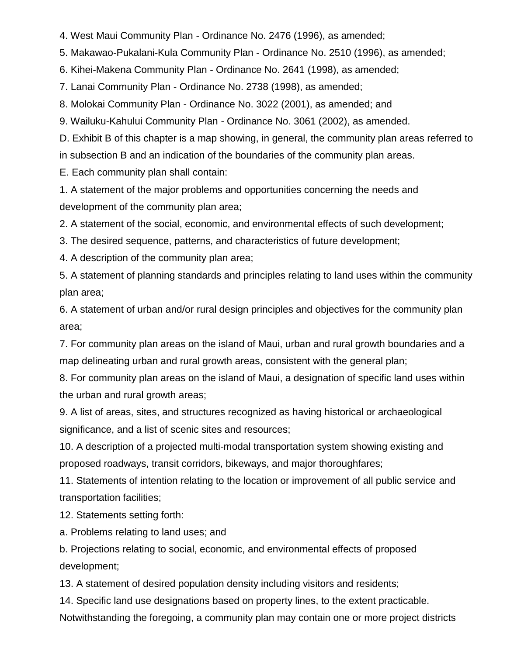4. West Maui Community Plan - Ordinance No. 2476 (1996), as amended;

5. Makawao-Pukalani-Kula Community Plan - Ordinance No. 2510 (1996), as amended;

6. Kihei-Makena Community Plan - Ordinance No. 2641 (1998), as amended;

7. Lanai Community Plan - Ordinance No. 2738 (1998), as amended;

8. Molokai Community Plan - Ordinance No. 3022 (2001), as amended; and

9. Wailuku-Kahului Community Plan - Ordinance No. 3061 (2002), as amended.

D. Exhibit B of this chapter is a map showing, in general, the community plan areas referred to in subsection B and an indication of the boundaries of the community plan areas.

E. Each community plan shall contain:

1. A statement of the major problems and opportunities concerning the needs and development of the community plan area;

2. A statement of the social, economic, and environmental effects of such development;

3. The desired sequence, patterns, and characteristics of future development;

4. A description of the community plan area;

5. A statement of planning standards and principles relating to land uses within the community plan area;

6. A statement of urban and/or rural design principles and objectives for the community plan area;

7. For community plan areas on the island of Maui, urban and rural growth boundaries and a map delineating urban and rural growth areas, consistent with the general plan;

8. For community plan areas on the island of Maui, a designation of specific land uses within the urban and rural growth areas;

9. A list of areas, sites, and structures recognized as having historical or archaeological significance, and a list of scenic sites and resources;

10. A description of a projected multi-modal transportation system showing existing and proposed roadways, transit corridors, bikeways, and major thoroughfares;

11. Statements of intention relating to the location or improvement of all public service and transportation facilities;

12. Statements setting forth:

a. Problems relating to land uses; and

b. Projections relating to social, economic, and environmental effects of proposed development;

13. A statement of desired population density including visitors and residents;

14. Specific land use designations based on property lines, to the extent practicable.

Notwithstanding the foregoing, a community plan may contain one or more project districts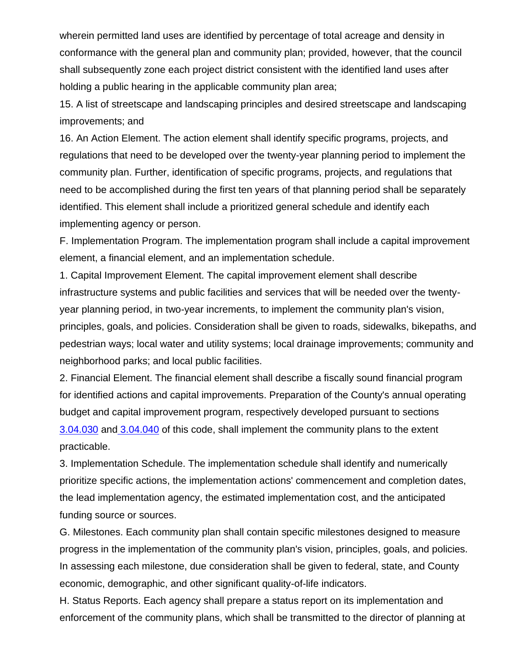wherein permitted land uses are identified by percentage of total acreage and density in conformance with the general plan and community plan; provided, however, that the council shall subsequently zone each project district consistent with the identified land uses after holding a public hearing in the applicable community plan area;

15. A list of streetscape and landscaping principles and desired streetscape and landscaping improvements; and

16. An Action Element. The action element shall identify specific programs, projects, and regulations that need to be developed over the twenty-year planning period to implement the community plan. Further, identification of specific programs, projects, and regulations that need to be accomplished during the first ten years of that planning period shall be separately identified. This element shall include a prioritized general schedule and identify each implementing agency or person.

F. Implementation Program. The implementation program shall include a capital improvement element, a financial element, and an implementation schedule.

1. Capital Improvement Element. The capital improvement element shall describe infrastructure systems and public facilities and services that will be needed over the twentyyear planning period, in two-year increments, to implement the community plan's vision, principles, goals, and policies. Consideration shall be given to roads, sidewalks, bikepaths, and pedestrian ways; local water and utility systems; local drainage improvements; community and neighborhood parks; and local public facilities.

2. Financial Element. The financial element shall describe a fiscally sound financial program for identified actions and capital improvements. Preparation of the County's annual operating budget and capital improvement program, respectively developed pursuant to section[s](http://library.municode.com/HTML/16289/level2/TIT3REFI_CH3.04INCOOP.html#TIT3REFI_CH3.04INCOOP_3.04.030OPBU) [3.04.030](http://library.municode.com/HTML/16289/level2/TIT3REFI_CH3.04INCOOP.html#TIT3REFI_CH3.04INCOOP_3.04.030OPBU) and [3.04.040](http://library.municode.com/HTML/16289/level2/TIT3REFI_CH3.04INCOOP.html#TIT3REFI_CH3.04INCOOP_3.04.040CAPR) of this code, shall implement the community plans to the extent practicable.

3. Implementation Schedule. The implementation schedule shall identify and numerically prioritize specific actions, the implementation actions' commencement and completion dates, the lead implementation agency, the estimated implementation cost, and the anticipated funding source or sources.

G. Milestones. Each community plan shall contain specific milestones designed to measure progress in the implementation of the community plan's vision, principles, goals, and policies. In assessing each milestone, due consideration shall be given to federal, state, and County economic, demographic, and other significant quality-of-life indicators.

H. Status Reports. Each agency shall prepare a status report on its implementation and enforcement of the community plans, which shall be transmitted to the director of planning at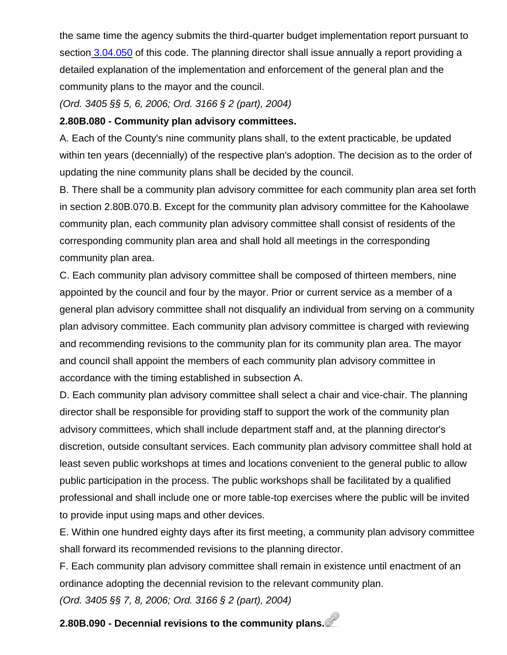the same time the agency submits the third-quarter budget implementation report pursuant to section [3.04.050](http://library.municode.com/HTML/16289/level2/TIT3REFI_CH3.04INCOOP.html#TIT3REFI_CH3.04INCOOP_3.04.050BUIMRE) of this code. The planning director shall issue annually a report providing a detailed explanation of the implementation and enforcement of the general plan and the community plans to the mayor and the council.

*(Ord. 3405 §§ 5, 6, 2006; Ord. 3166 § 2 (part), 2004)* 

#### **2.80B.080 - Community plan advisory committees.**

A. Each of the County's nine community plans shall, to the extent practicable, be updated within ten years (decennially) of the respective plan's adoption. The decision as to the order of updating the nine community plans shall be decided by the council.

B. There shall be a community plan advisory committee for each community plan area set forth in section 2.80B.070.B. Except for the community plan advisory committee for the Kahoolawe community plan, each community plan advisory committee shall consist of residents of the corresponding community plan area and shall hold all meetings in the corresponding community plan area.

C. Each community plan advisory committee shall be composed of thirteen members, nine appointed by the council and four by the mayor. Prior or current service as a member of a general plan advisory committee shall not disqualify an individual from serving on a community plan advisory committee. Each community plan advisory committee is charged with reviewing and recommending revisions to the community plan for its community plan area. The mayor and council shall appoint the members of each community plan advisory committee in accordance with the timing established in subsection A.

D. Each community plan advisory committee shall select a chair and vice-chair. The planning director shall be responsible for providing staff to support the work of the community plan advisory committees, which shall include department staff and, at the planning director's discretion, outside consultant services. Each community plan advisory committee shall hold at least seven public workshops at times and locations convenient to the general public to allow public participation in the process. The public workshops shall be facilitated by a qualified professional and shall include one or more table-top exercises where the public will be invited to provide input using maps and other devices.

E. Within one hundred eighty days after its first meeting, a community plan advisory committee shall forward its recommended revisions to the planning director.

F. Each community plan advisory committee shall remain in existence until enactment of an ordinance adopting the decennial revision to the relevant community plan.

*(Ord. 3405 §§ 7, 8, 2006; Ord. 3166 § 2 (part), 2004)* 

# **2.80B.090 - Decennial revisions to the community plans.**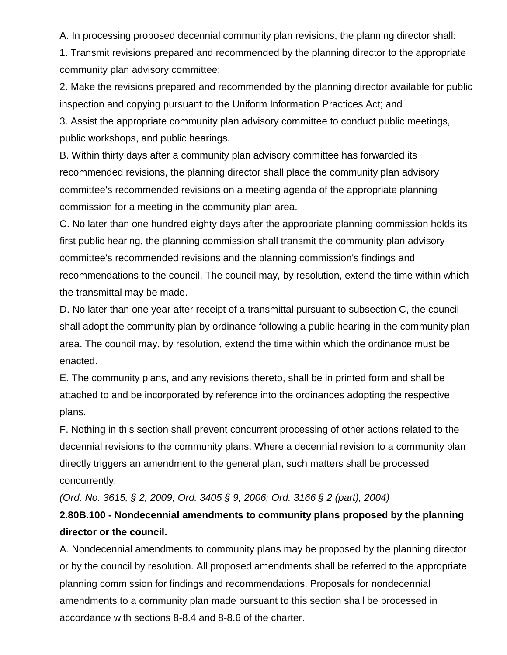A. In processing proposed decennial community plan revisions, the planning director shall:

1. Transmit revisions prepared and recommended by the planning director to the appropriate community plan advisory committee;

2. Make the revisions prepared and recommended by the planning director available for public inspection and copying pursuant to the Uniform Information Practices Act; and

3. Assist the appropriate community plan advisory committee to conduct public meetings, public workshops, and public hearings.

B. Within thirty days after a community plan advisory committee has forwarded its recommended revisions, the planning director shall place the community plan advisory committee's recommended revisions on a meeting agenda of the appropriate planning commission for a meeting in the community plan area.

C. No later than one hundred eighty days after the appropriate planning commission holds its first public hearing, the planning commission shall transmit the community plan advisory committee's recommended revisions and the planning commission's findings and recommendations to the council. The council may, by resolution, extend the time within which the transmittal may be made.

D. No later than one year after receipt of a transmittal pursuant to subsection C, the council shall adopt the community plan by ordinance following a public hearing in the community plan area. The council may, by resolution, extend the time within which the ordinance must be enacted.

E. The community plans, and any revisions thereto, shall be in printed form and shall be attached to and be incorporated by reference into the ordinances adopting the respective plans.

F. Nothing in this section shall prevent concurrent processing of other actions related to the decennial revisions to the community plans. Where a decennial revision to a community plan directly triggers an amendment to the general plan, such matters shall be processed concurrently.

*(Ord. No. 3615, § 2, 2009; Ord. 3405 § 9, 2006; Ord. 3166 § 2 (part), 2004)* 

## **2.80B.100 - Nondecennial amendments to community plans proposed by the planning director or the council.**

A. Nondecennial amendments to community plans may be proposed by the planning director or by the council by resolution. All proposed amendments shall be referred to the appropriate planning commission for findings and recommendations. Proposals for nondecennial amendments to a community plan made pursuant to this section shall be processed in accordance with sections 8-8.4 and 8-8.6 of the charter.